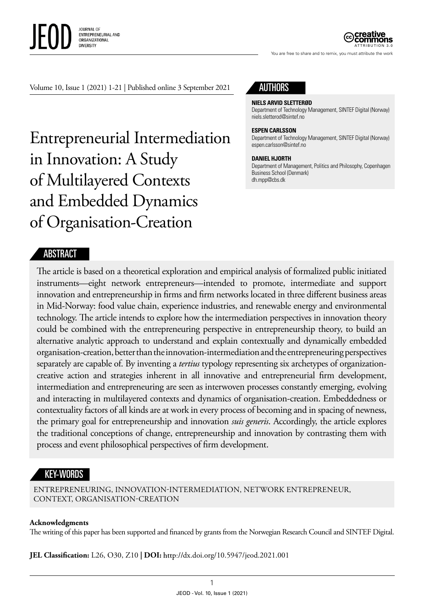

ATTRIBUTION 3.0

You are free to share and to remix, you must attribute the work

Volume 10, Issue 1 (2021) 1-21 | Published online 3 September 2021

Entrepreneurial Intermediation in Innovation: A Study of Multilayered Contexts and Embedded Dynamics of Organisation-Creation



#### **NIELS ARVID SLETTERØD**

Department of Technology Management, SINTEF Digital (Norway) [niels.sletterod@sintef.no](mailto:niels.sletterod@sintef.no)

#### **ESPEN CARLSSON**

Department of Technology Management, SINTEF Digital (Norway) [espen.carlsson@sintef.no](mailto:espen.carlsson@sintef.no)

#### **DANIEL HJORTH**

Department of Management, Politics and Philosophy, Copenhagen Business School (Denmark) [dh.mpp@cbs.dk](mailto:dh.mpp@cbs.dk)

#### **ABSTRACT**

The article is based on a theoretical exploration and empirical analysis of formalized public initiated instruments—eight network entrepreneurs—intended to promote, intermediate and support innovation and entrepreneurship in firms and firm networks located in three different business areas in Mid-Norway: food value chain, experience industries, and renewable energy and environmental technology. The article intends to explore how the intermediation perspectives in innovation theory could be combined with the entrepreneuring perspective in entrepreneurship theory, to build an alternative analytic approach to understand and explain contextually and dynamically embedded organisation-creation, better than the innovation-intermediation and the entrepreneuring perspectives separately are capable of. By inventing a *tertius* typology representing six archetypes of organizationcreative action and strategies inherent in all innovative and entrepreneurial firm development, intermediation and entrepreneuring are seen as interwoven processes constantly emerging, evolving and interacting in multilayered contexts and dynamics of organisation-creation. Embeddedness or contextuality factors of all kinds are at work in every process of becoming and in spacing of newness, the primary goal for entrepreneurship and innovation *suis generis*. Accordingly, the article explores the traditional conceptions of change, entrepreneurship and innovation by contrasting them with process and event philosophical perspectives of firm development.

#### KEY-WORDS

ENTREPRENEURING, INNOVATION-INTERMEDIATION, NETWORK ENTREPRENEUR, CONTEXT, ORGANISATION-CREATION

#### **Acknowledgments**

The writing of this paper has been supported and financed by grants from the Norwegian Research Council and SINTEF Digital.

**JEL Classification:** L26, O30, Z10 **| DOI:** dx.doi.org/10.5947/jeod.2021.001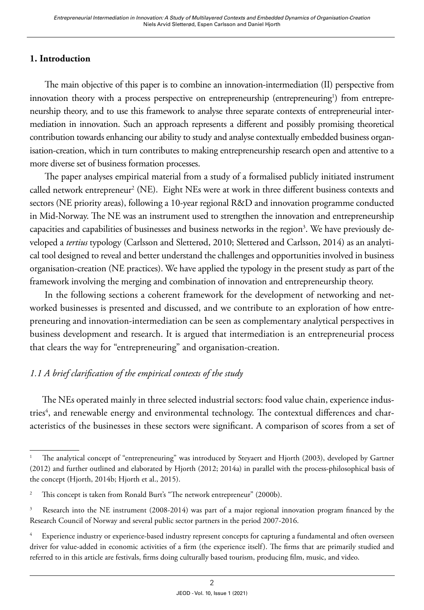### **1. Introduction**

The main objective of this paper is to combine an innovation-intermediation (II) perspective from innovation theory with a process perspective on entrepreneurship (entrepreneuring<sup>1</sup>) from entrepreneurship theory, and to use this framework to analyse three separate contexts of entrepreneurial intermediation in innovation. Such an approach represents a different and possibly promising theoretical contribution towards enhancing our ability to study and analyse contextually embedded business organisation-creation, which in turn contributes to making entrepreneurship research open and attentive to a more diverse set of business formation processes.

The paper analyses empirical material from a study of a formalised publicly initiated instrument called network entrepreneur<sup>2</sup> (NE). Eight NEs were at work in three different business contexts and sectors (NE priority areas), following a 10-year regional R&D and innovation programme conducted in Mid-Norway. The NE was an instrument used to strengthen the innovation and entrepreneurship capacities and capabilities of businesses and business networks in the region<sup>3</sup>. We have previously developed a *tertius* typology (Carlsson and Sletterød, 2010; Sletterød and Carlsson, 2014) as an analytical tool designed to reveal and better understand the challenges and opportunities involved in business organisation-creation (NE practices). We have applied the typology in the present study as part of the framework involving the merging and combination of innovation and entrepreneurship theory.

In the following sections a coherent framework for the development of networking and networked businesses is presented and discussed, and we contribute to an exploration of how entrepreneuring and innovation-intermediation can be seen as complementary analytical perspectives in business development and research. It is argued that intermediation is an entrepreneurial process that clears the way for "entrepreneuring" and organisation-creation.

### *1.1 A brief clarification of the empirical contexts of the study*

The NEs operated mainly in three selected industrial sectors: food value chain, experience industries<sup>4</sup>, and renewable energy and environmental technology. The contextual differences and characteristics of the businesses in these sectors were significant. A comparison of scores from a set of

<sup>1</sup> The analytical concept of "entrepreneuring" was introduced by Steyaert and Hjorth (2003), developed by Gartner (2012) and further outlined and elaborated by Hjorth (2012; 2014a) in parallel with the process-philosophical basis of the concept (Hjorth, 2014b; Hjorth et al., 2015).

<sup>&</sup>lt;sup>2</sup> This concept is taken from Ronald Burt's "The network entrepreneur" (2000b).

<sup>&</sup>lt;sup>3</sup> Research into the NE instrument (2008-2014) was part of a major regional innovation program financed by the Research Council of Norway and several public sector partners in the period 2007-2016.

<sup>4</sup> Experience industry or experience-based industry represent concepts for capturing a fundamental and often overseen driver for value-added in economic activities of a firm (the experience itself). The firms that are primarily studied and referred to in this article are festivals, firms doing culturally based tourism, producing film, music, and video.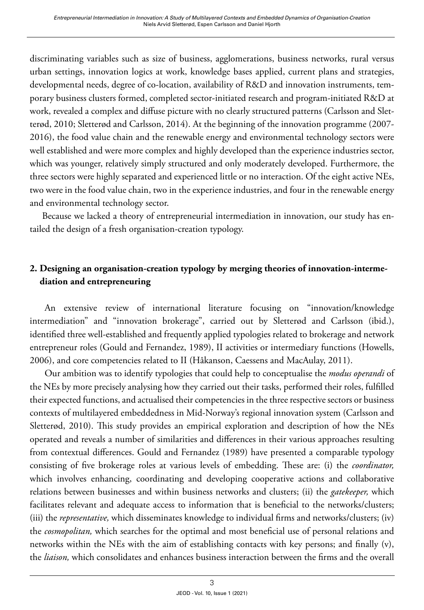discriminating variables such as size of business, agglomerations, business networks, rural versus urban settings, innovation logics at work, knowledge bases applied, current plans and strategies, developmental needs, degree of co-location, availability of R&D and innovation instruments, temporary business clusters formed, completed sector-initiated research and program-initiated R&D at work, revealed a complex and diffuse picture with no clearly structured patterns (Carlsson and Sletterød, 2010; Sletterød and Carlsson, 2014). At the beginning of the innovation programme (2007- 2016), the food value chain and the renewable energy and environmental technology sectors were well established and were more complex and highly developed than the experience industries sector, which was younger, relatively simply structured and only moderately developed. Furthermore, the three sectors were highly separated and experienced little or no interaction. Of the eight active NEs, two were in the food value chain, two in the experience industries, and four in the renewable energy and environmental technology sector.

Because we lacked a theory of entrepreneurial intermediation in innovation, our study has entailed the design of a fresh organisation-creation typology.

## **2. Designing an organisation-creation typology by merging theories of innovation-intermediation and entrepreneuring**

An extensive review of international literature focusing on "innovation/knowledge intermediation" and "innovation brokerage", carried out by Sletterød and Carlsson (ibid.), identified three well-established and frequently applied typologies related to brokerage and network entrepreneur roles (Gould and Fernandez, 1989), II activities or intermediary functions (Howells, 2006), and core competencies related to II (Håkanson, Caessens and MacAulay, 2011).

Our ambition was to identify typologies that could help to conceptualise the *modus operandi* of the NEs by more precisely analysing how they carried out their tasks, performed their roles, fulfilled their expected functions, and actualised their competencies in the three respective sectors or business contexts of multilayered embeddedness in Mid-Norway's regional innovation system (Carlsson and Sletterød, 2010). This study provides an empirical exploration and description of how the NEs operated and reveals a number of similarities and differences in their various approaches resulting from contextual differences. Gould and Fernandez (1989) have presented a comparable typology consisting of five brokerage roles at various levels of embedding. These are: (i) the *coordinator,* which involves enhancing, coordinating and developing cooperative actions and collaborative relations between businesses and within business networks and clusters; (ii) the *gatekeeper,* which facilitates relevant and adequate access to information that is beneficial to the networks/clusters; (iii) the *representative,* which disseminates knowledge to individual firms and networks/clusters; (iv) the *cosmopolitan,* which searches for the optimal and most beneficial use of personal relations and networks within the NEs with the aim of establishing contacts with key persons; and finally (v), the *liaison,* which consolidates and enhances business interaction between the firms and the overall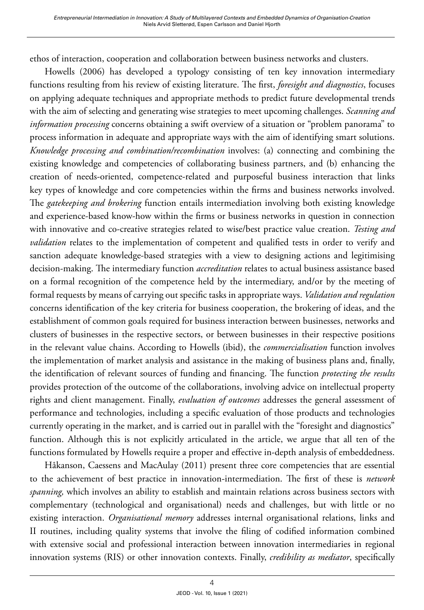ethos of interaction, cooperation and collaboration between business networks and clusters.

Howells (2006) has developed a typology consisting of ten key innovation intermediary functions resulting from his review of existing literature. The first, *foresight and diagnostics*, focuses on applying adequate techniques and appropriate methods to predict future developmental trends with the aim of selecting and generating wise strategies to meet upcoming challenges. *Scanning and information processing* concerns obtaining a swift overview of a situation or "problem panorama" to process information in adequate and appropriate ways with the aim of identifying smart solutions. *Knowledge processing and combination/recombination* involves: (a) connecting and combining the existing knowledge and competencies of collaborating business partners, and (b) enhancing the creation of needs-oriented, competence-related and purposeful business interaction that links key types of knowledge and core competencies within the firms and business networks involved. The *gatekeeping and brokering* function entails intermediation involving both existing knowledge and experience-based know-how within the firms or business networks in question in connection with innovative and co-creative strategies related to wise/best practice value creation. *Testing and validation* relates to the implementation of competent and qualified tests in order to verify and sanction adequate knowledge-based strategies with a view to designing actions and legitimising decision-making. The intermediary function *accreditation* relates to actual business assistance based on a formal recognition of the competence held by the intermediary, and/or by the meeting of formal requests by means of carrying out specific tasks in appropriate ways. *Validation and regulation* concerns identification of the key criteria for business cooperation, the brokering of ideas, and the establishment of common goals required for business interaction between businesses, networks and clusters of businesses in the respective sectors, or between businesses in their respective positions in the relevant value chains. According to Howells (ibid), the *commercialisation* function involves the implementation of market analysis and assistance in the making of business plans and, finally, the identification of relevant sources of funding and financing. The function *protecting the results* provides protection of the outcome of the collaborations, involving advice on intellectual property rights and client management. Finally, *evaluation of outcomes* addresses the general assessment of performance and technologies, including a specific evaluation of those products and technologies currently operating in the market, and is carried out in parallel with the "foresight and diagnostics" function. Although this is not explicitly articulated in the article, we argue that all ten of the functions formulated by Howells require a proper and effective in-depth analysis of embeddedness.

Håkanson, Caessens and MacAulay (2011) present three core competencies that are essential to the achievement of best practice in innovation-intermediation. The first of these is *network spanning,* which involves an ability to establish and maintain relations across business sectors with complementary (technological and organisational) needs and challenges, but with little or no existing interaction. *Organisational memory* addresses internal organisational relations, links and II routines, including quality systems that involve the filing of codified information combined with extensive social and professional interaction between innovation intermediaries in regional innovation systems (RIS) or other innovation contexts. Finally, *credibility as mediator*, specifically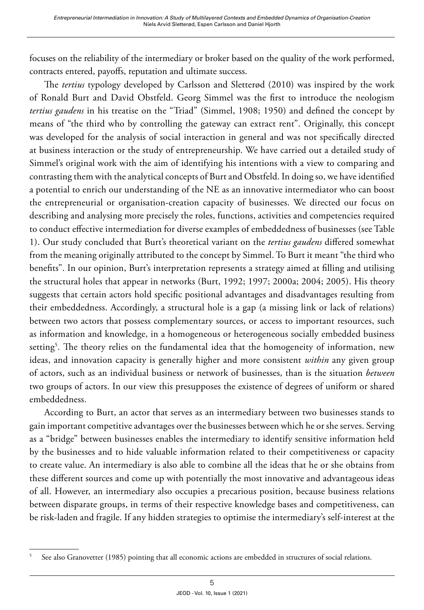focuses on the reliability of the intermediary or broker based on the quality of the work performed, contracts entered, payoffs, reputation and ultimate success.

The *tertius* typology developed by Carlsson and Sletterød (2010) was inspired by the work of Ronald Burt and David Obstfeld. Georg Simmel was the first to introduce the neologism *tertius gaudens* in his treatise on the "Triad" (Simmel, 1908; 1950) and defined the concept by means of "the third who by controlling the gateway can extract rent". Originally, this concept was developed for the analysis of social interaction in general and was not specifically directed at business interaction or the study of entrepreneurship. We have carried out a detailed study of Simmel's original work with the aim of identifying his intentions with a view to comparing and contrasting them with the analytical concepts of Burt and Obstfeld. In doing so, we have identified a potential to enrich our understanding of the NE as an innovative intermediator who can boost the entrepreneurial or organisation-creation capacity of businesses. We directed our focus on describing and analysing more precisely the roles, functions, activities and competencies required to conduct effective intermediation for diverse examples of embeddedness of businesses (see Table 1). Our study concluded that Burt's theoretical variant on the *tertius gaudens* differed somewhat from the meaning originally attributed to the concept by Simmel. To Burt it meant "the third who benefits". In our opinion, Burt's interpretation represents a strategy aimed at filling and utilising the structural holes that appear in networks (Burt, 1992; 1997; 2000a; 2004; 2005). His theory suggests that certain actors hold specific positional advantages and disadvantages resulting from their embeddedness. Accordingly, a structural hole is a gap (a missing link or lack of relations) between two actors that possess complementary sources, or access to important resources, such as information and knowledge, in a homogeneous or heterogeneous socially embedded business setting<sup>5</sup>. The theory relies on the fundamental idea that the homogeneity of information, new ideas, and innovation capacity is generally higher and more consistent *within* any given group of actors, such as an individual business or network of businesses, than is the situation *between* two groups of actors. In our view this presupposes the existence of degrees of uniform or shared embeddedness.

According to Burt, an actor that serves as an intermediary between two businesses stands to gain important competitive advantages over the businesses between which he or she serves. Serving as a "bridge" between businesses enables the intermediary to identify sensitive information held by the businesses and to hide valuable information related to their competitiveness or capacity to create value. An intermediary is also able to combine all the ideas that he or she obtains from these different sources and come up with potentially the most innovative and advantageous ideas of all. However, an intermediary also occupies a precarious position, because business relations between disparate groups, in terms of their respective knowledge bases and competitiveness, can be risk-laden and fragile. If any hidden strategies to optimise the intermediary's self-interest at the

<sup>&</sup>lt;sup>5</sup> See also Granovetter (1985) pointing that all economic actions are embedded in structures of social relations.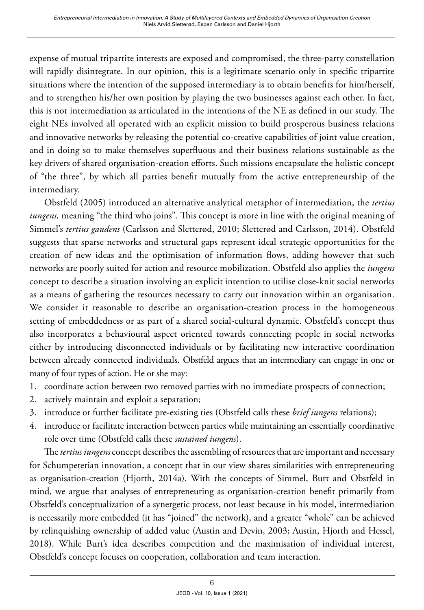expense of mutual tripartite interests are exposed and compromised, the three-party constellation will rapidly disintegrate. In our opinion, this is a legitimate scenario only in specific tripartite situations where the intention of the supposed intermediary is to obtain benefits for him/herself, and to strengthen his/her own position by playing the two businesses against each other. In fact, this is not intermediation as articulated in the intentions of the NE as defined in our study. The eight NEs involved all operated with an explicit mission to build prosperous business relations and innovative networks by releasing the potential co-creative capabilities of joint value creation, and in doing so to make themselves superfluous and their business relations sustainable as the key drivers of shared organisation-creation efforts. Such missions encapsulate the holistic concept of "the three", by which all parties benefit mutually from the active entrepreneurship of the intermediary.

Obstfeld (2005) introduced an alternative analytical metaphor of intermediation, the *tertius iungens,* meaning "the third who joins"*.* This concept is more in line with the original meaning of Simmel's *tertius gaudens* (Carlsson and Sletterød, 2010; Sletterød and Carlsson, 2014). Obstfeld suggests that sparse networks and structural gaps represent ideal strategic opportunities for the creation of new ideas and the optimisation of information flows, adding however that such networks are poorly suited for action and resource mobilization. Obstfeld also applies the *iungens* concept to describe a situation involving an explicit intention to utilise close-knit social networks as a means of gathering the resources necessary to carry out innovation within an organisation. We consider it reasonable to describe an organisation-creation process in the homogeneous setting of embeddedness or as part of a shared social-cultural dynamic. Obstfeld's concept thus also incorporates a behavioural aspect oriented towards connecting people in social networks either by introducing disconnected individuals or by facilitating new interactive coordination between already connected individuals. Obstfeld argues that an intermediary can engage in one or many of four types of action. He or she may:

- 1. coordinate action between two removed parties with no immediate prospects of connection;
- 2. actively maintain and exploit a separation;
- 3. introduce or further facilitate pre-existing ties (Obstfeld calls these *brief iungens* relations);
- 4. introduce or facilitate interaction between parties while maintaining an essentially coordinative role over time (Obstfeld calls these *sustained iungens*).

The *tertius iungens* concept describes the assembling of resources that are important and necessary for Schumpeterian innovation, a concept that in our view shares similarities with entrepreneuring as organisation-creation (Hjorth, 2014a). With the concepts of Simmel, Burt and Obstfeld in mind, we argue that analyses of entrepreneuring as organisation-creation benefit primarily from Obstfeld's conceptualization of a synergetic process, not least because in his model, intermediation is necessarily more embedded (it has "joined" the network), and a greater "whole" can be achieved by relinquishing ownership of added value (Austin and Devin, 2003; Austin, Hjorth and Hessel, 2018). While Burt's idea describes competition and the maximisation of individual interest, Obstfeld's concept focuses on cooperation, collaboration and team interaction.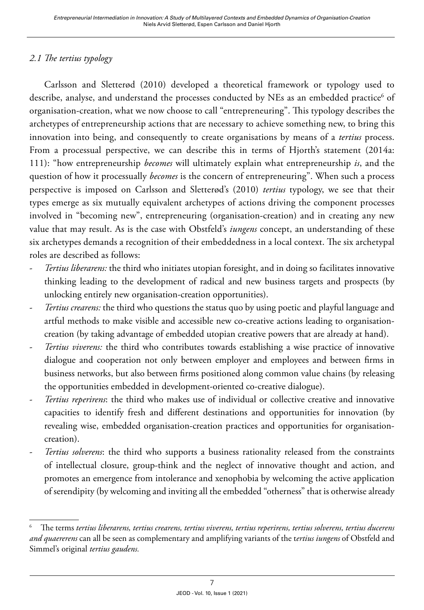### *2.1 The tertius typology*

Carlsson and Sletterød (2010) developed a theoretical framework or typology used to describe, analyse, and understand the processes conducted by NEs as an embedded practice $^{\rm 6}$  of organisation-creation, what we now choose to call "entrepreneuring". This typology describes the archetypes of entrepreneurship actions that are necessary to achieve something new, to bring this innovation into being, and consequently to create organisations by means of a *tertius* process. From a processual perspective, we can describe this in terms of Hjorth's statement (2014a: 111): "how entrepreneurship *becomes* will ultimately explain what entrepreneurship *is*, and the question of how it processually *becomes* is the concern of entrepreneuring". When such a process perspective is imposed on Carlsson and Sletterød's (2010) *tertius* typology, we see that their types emerge as six mutually equivalent archetypes of actions driving the component processes involved in "becoming new", entrepreneuring (organisation-creation) and in creating any new value that may result. As is the case with Obstfeld's *iungens* concept, an understanding of these six archetypes demands a recognition of their embeddedness in a local context. The six archetypal roles are described as follows:

- *Tertius liberarens:* the third who initiates utopian foresight, and in doing so facilitates innovative thinking leading to the development of radical and new business targets and prospects (by unlocking entirely new organisation-creation opportunities).
- *Tertius crearens:* the third who questions the status quo by using poetic and playful language and artful methods to make visible and accessible new co-creative actions leading to organisationcreation (by taking advantage of embedded utopian creative powers that are already at hand).
- *Tertius viverens:* the third who contributes towards establishing a wise practice of innovative dialogue and cooperation not only between employer and employees and between firms in business networks, but also between firms positioned along common value chains (by releasing the opportunities embedded in development-oriented co-creative dialogue).
- *Tertius reperirens*: the third who makes use of individual or collective creative and innovative capacities to identify fresh and different destinations and opportunities for innovation (by revealing wise, embedded organisation-creation practices and opportunities for organisationcreation).
- *Tertius solverens*: the third who supports a business rationality released from the constraints of intellectual closure, group-think and the neglect of innovative thought and action, and promotes an emergence from intolerance and xenophobia by welcoming the active application of serendipity (by welcoming and inviting all the embedded "otherness" that is otherwise already

<sup>6</sup> The terms *tertius liberarens, tertius crearens, tertius viverens, tertius reperirens, tertius solverens, tertius ducerens and quaererens* can all be seen as complementary and amplifying variants of the t*ertius iungens* of Obstfeld and Simmel's original *tertius gaudens.*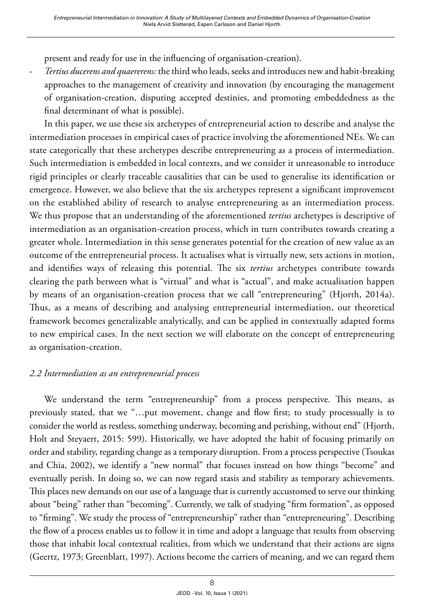present and ready for use in the influencing of organisation-creation).

- *Tertius ducerens and quaererens:* the third who leads, seeks and introduces new and habit-breaking approaches to the management of creativity and innovation (by encouraging the management of organisation-creation, disputing accepted destinies, and promoting embeddedness as the final determinant of what is possible).

In this paper, we use these six archetypes of entrepreneurial action to describe and analyse the intermediation processes in empirical cases of practice involving the aforementioned NEs. We can state categorically that these archetypes describe entrepreneuring as a process of intermediation. Such intermediation is embedded in local contexts, and we consider it unreasonable to introduce rigid principles or clearly traceable causalities that can be used to generalise its identification or emergence. However, we also believe that the six archetypes represent a significant improvement on the established ability of research to analyse entrepreneuring as an intermediation process. We thus propose that an understanding of the aforementioned *tertius* archetypes is descriptive of intermediation as an organisation-creation process, which in turn contributes towards creating a greater whole. Intermediation in this sense generates potential for the creation of new value as an outcome of the entrepreneurial process. It actualises what is virtually new, sets actions in motion, and identifies ways of releasing this potential. The six *tertius* archetypes contribute towards clearing the path between what is "virtual" and what is "actual", and make actualisation happen by means of an organisation-creation process that we call "entrepreneuring" (Hjorth, 2014a). Thus, as a means of describing and analysing entrepreneurial intermediation, our theoretical framework becomes generalizable analytically, and can be applied in contextually adapted forms to new empirical cases. In the next section we will elaborate on the concept of entrepreneuring as organisation-creation.

#### *2.2 Intermediation as an entrepreneurial process*

We understand the term "entrepreneurship" from a process perspective. This means, as previously stated, that we "…put movement, change and flow first; to study processually is to consider the world as restless, something underway, becoming and perishing, without end" (Hjorth, Holt and Steyaert, 2015: 599). Historically, we have adopted the habit of focusing primarily on order and stability, regarding change as a temporary disruption. From a process perspective (Tsoukas and Chia, 2002), we identify a "new normal" that focuses instead on how things "become" and eventually perish. In doing so, we can now regard stasis and stability as temporary achievements. This places new demands on our use of a language that is currently accustomed to serve our thinking about "being" rather than "becoming". Currently, we talk of studying "firm formation", as opposed to "firming". We study the process of "entrepreneurship" rather than "entrepreneuring". Describing the flow of a process enables us to follow it in time and adopt a language that results from observing those that inhabit local contextual realities, from which we understand that their actions are signs (Geertz, 1973; Greenblatt, 1997). Actions become the carriers of meaning, and we can regard them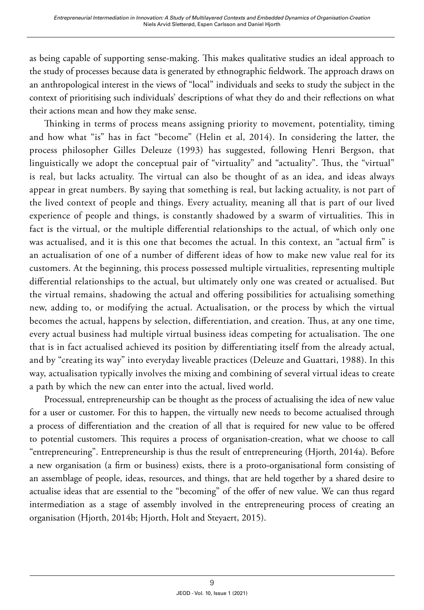as being capable of supporting sense-making. This makes qualitative studies an ideal approach to the study of processes because data is generated by ethnographic fieldwork. The approach draws on an anthropological interest in the views of "local" individuals and seeks to study the subject in the context of prioritising such individuals' descriptions of what they do and their reflections on what their actions mean and how they make sense.

Thinking in terms of process means assigning priority to movement, potentiality, timing and how what "is" has in fact "become" (Helin et al, 2014). In considering the latter, the process philosopher Gilles Deleuze (1993) has suggested, following Henri Bergson, that linguistically we adopt the conceptual pair of "virtuality" and "actuality". Thus, the "virtual" is real, but lacks actuality. The virtual can also be thought of as an idea, and ideas always appear in great numbers. By saying that something is real, but lacking actuality, is not part of the lived context of people and things. Every actuality, meaning all that is part of our lived experience of people and things, is constantly shadowed by a swarm of virtualities. This in fact is the virtual, or the multiple differential relationships to the actual, of which only one was actualised, and it is this one that becomes the actual. In this context, an "actual firm" is an actualisation of one of a number of different ideas of how to make new value real for its customers. At the beginning, this process possessed multiple virtualities, representing multiple differential relationships to the actual, but ultimately only one was created or actualised. But the virtual remains, shadowing the actual and offering possibilities for actualising something new, adding to, or modifying the actual. Actualisation, or the process by which the virtual becomes the actual, happens by selection, differentiation, and creation. Thus, at any one time, every actual business had multiple virtual business ideas competing for actualisation. The one that is in fact actualised achieved its position by differentiating itself from the already actual, and by "creating its way" into everyday liveable practices (Deleuze and Guattari, 1988). In this way, actualisation typically involves the mixing and combining of several virtual ideas to create a path by which the new can enter into the actual, lived world.

Processual, entrepreneurship can be thought as the process of actualising the idea of new value for a user or customer. For this to happen, the virtually new needs to become actualised through a process of differentiation and the creation of all that is required for new value to be offered to potential customers. This requires a process of organisation-creation, what we choose to call "entrepreneuring". Entrepreneurship is thus the result of entrepreneuring (Hjorth, 2014a). Before a new organisation (a firm or business) exists, there is a proto-organisational form consisting of an assemblage of people, ideas, resources, and things, that are held together by a shared desire to actualise ideas that are essential to the "becoming" of the offer of new value. We can thus regard intermediation as a stage of assembly involved in the entrepreneuring process of creating an organisation (Hjorth, 2014b; Hjorth, Holt and Steyaert, 2015).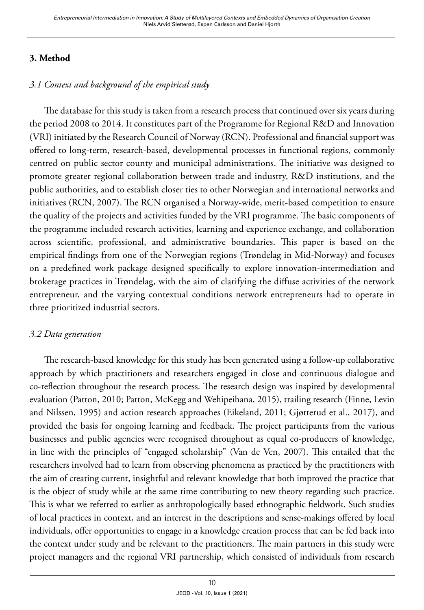## **3. Method**

## *3.1 Context and background of the empirical study*

The database for this study is taken from a research process that continued over six years during the period 2008 to 2014. It constitutes part of the Programme for Regional R&D and Innovation (VRI) initiated by the Research Council of Norway (RCN). Professional and financial support was offered to long-term, research-based, developmental processes in functional regions, commonly centred on public sector county and municipal administrations. The initiative was designed to promote greater regional collaboration between trade and industry, R&D institutions, and the public authorities, and to establish closer ties to other Norwegian and international networks and initiatives (RCN, 2007). The RCN organised a Norway-wide, merit-based competition to ensure the quality of the projects and activities funded by the VRI programme. The basic components of the programme included research activities, learning and experience exchange, and collaboration across scientific, professional, and administrative boundaries. This paper is based on the empirical findings from one of the Norwegian regions (Trøndelag in Mid-Norway) and focuses on a predefined work package designed specifically to explore innovation-intermediation and brokerage practices in Trøndelag, with the aim of clarifying the diffuse activities of the network entrepreneur, and the varying contextual conditions network entrepreneurs had to operate in three prioritized industrial sectors.

#### *3.2 Data generation*

The research-based knowledge for this study has been generated using a follow-up collaborative approach by which practitioners and researchers engaged in close and continuous dialogue and co-reflection throughout the research process. The research design was inspired by developmental evaluation (Patton, 2010; Patton, McKegg and Wehipeihana, 2015), trailing research (Finne, Levin and Nilssen, 1995) and action research approaches (Eikeland, 2011; Gjøtterud et al., 2017), and provided the basis for ongoing learning and feedback. The project participants from the various businesses and public agencies were recognised throughout as equal co-producers of knowledge, in line with the principles of "engaged scholarship" (Van de Ven, 2007). This entailed that the researchers involved had to learn from observing phenomena as practiced by the practitioners with the aim of creating current, insightful and relevant knowledge that both improved the practice that is the object of study while at the same time contributing to new theory regarding such practice. This is what we referred to earlier as anthropologically based ethnographic fieldwork. Such studies of local practices in context, and an interest in the descriptions and sense-makings offered by local individuals, offer opportunities to engage in a knowledge creation process that can be fed back into the context under study and be relevant to the practitioners. The main partners in this study were project managers and the regional VRI partnership, which consisted of individuals from research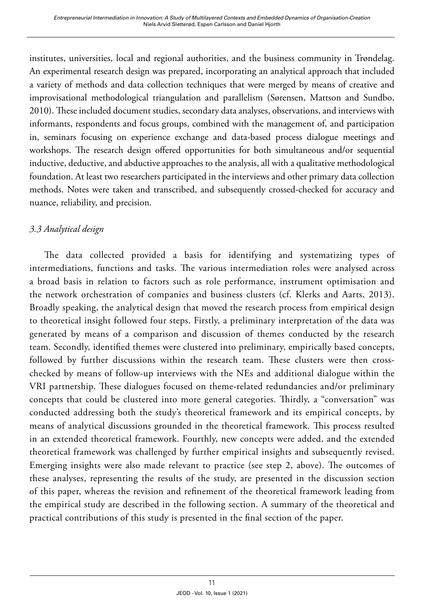institutes, universities, local and regional authorities, and the business community in Trøndelag. An experimental research design was prepared, incorporating an analytical approach that included a variety of methods and data collection techniques that were merged by means of creative and improvisational methodological triangulation and parallelism (Sørensen, Mattson and Sundbo, 2010). These included document studies, secondary data analyses, observations, and interviews with informants, respondents and focus groups, combined with the management of, and participation in, seminars focusing on experience exchange and data-based process dialogue meetings and workshops. The research design offered opportunities for both simultaneous and/or sequential inductive, deductive, and abductive approaches to the analysis, all with a qualitative methodological foundation. At least two researchers participated in the interviews and other primary data collection methods. Notes were taken and transcribed, and subsequently crossed-checked for accuracy and nuance, reliability, and precision.

## *3.3 Analytical design*

The data collected provided a basis for identifying and systematizing types of intermediations, functions and tasks. The various intermediation roles were analysed across a broad basis in relation to factors such as role performance, instrument optimisation and the network orchestration of companies and business clusters (cf. Klerks and Aarts, 2013). Broadly speaking, the analytical design that moved the research process from empirical design to theoretical insight followed four steps. Firstly, a preliminary interpretation of the data was generated by means of a comparison and discussion of themes conducted by the research team. Secondly, identified themes were clustered into preliminary, empirically based concepts, followed by further discussions within the research team. These clusters were then crosschecked by means of follow-up interviews with the NEs and additional dialogue within the VRI partnership. These dialogues focused on theme-related redundancies and/or preliminary concepts that could be clustered into more general categories. Thirdly, a "conversation" was conducted addressing both the study's theoretical framework and its empirical concepts, by means of analytical discussions grounded in the theoretical framework. This process resulted in an extended theoretical framework. Fourthly, new concepts were added, and the extended theoretical framework was challenged by further empirical insights and subsequently revised. Emerging insights were also made relevant to practice (see step 2, above). The outcomes of these analyses, representing the results of the study, are presented in the discussion section of this paper, whereas the revision and refinement of the theoretical framework leading from the empirical study are described in the following section. A summary of the theoretical and practical contributions of this study is presented in the final section of the paper.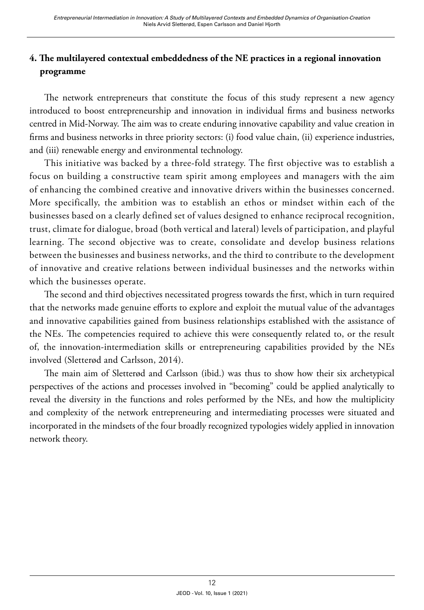# **4. The multilayered contextual embeddedness of the NE practices in a regional innovation programme**

The network entrepreneurs that constitute the focus of this study represent a new agency introduced to boost entrepreneurship and innovation in individual firms and business networks centred in Mid-Norway. The aim was to create enduring innovative capability and value creation in firms and business networks in three priority sectors: (i) food value chain, (ii) experience industries, and (iii) renewable energy and environmental technology.

This initiative was backed by a three-fold strategy. The first objective was to establish a focus on building a constructive team spirit among employees and managers with the aim of enhancing the combined creative and innovative drivers within the businesses concerned. More specifically, the ambition was to establish an ethos or mindset within each of the businesses based on a clearly defined set of values designed to enhance reciprocal recognition, trust, climate for dialogue, broad (both vertical and lateral) levels of participation, and playful learning. The second objective was to create, consolidate and develop business relations between the businesses and business networks, and the third to contribute to the development of innovative and creative relations between individual businesses and the networks within which the businesses operate.

The second and third objectives necessitated progress towards the first, which in turn required that the networks made genuine efforts to explore and exploit the mutual value of the advantages and innovative capabilities gained from business relationships established with the assistance of the NEs. The competencies required to achieve this were consequently related to, or the result of, the innovation-intermediation skills or entrepreneuring capabilities provided by the NEs involved (Sletterød and Carlsson, 2014).

The main aim of Sletterød and Carlsson (ibid.) was thus to show how their six archetypical perspectives of the actions and processes involved in "becoming" could be applied analytically to reveal the diversity in the functions and roles performed by the NEs, and how the multiplicity and complexity of the network entrepreneuring and intermediating processes were situated and incorporated in the mindsets of the four broadly recognized typologies widely applied in innovation network theory.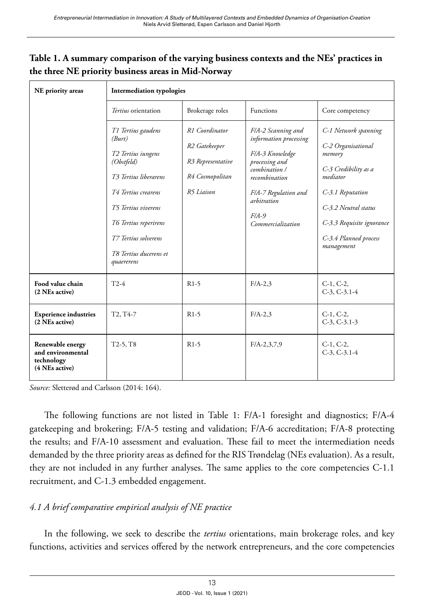| NE priority areas                                                     | <b>Intermediation typologies</b>                                                                                                                                                                                                                                       |                                                                                                               |                                                                                                                                                                                            |                                                                                                                                                                                                          |
|-----------------------------------------------------------------------|------------------------------------------------------------------------------------------------------------------------------------------------------------------------------------------------------------------------------------------------------------------------|---------------------------------------------------------------------------------------------------------------|--------------------------------------------------------------------------------------------------------------------------------------------------------------------------------------------|----------------------------------------------------------------------------------------------------------------------------------------------------------------------------------------------------------|
|                                                                       | <i>Tertius</i> orientation                                                                                                                                                                                                                                             | Brokerage roles                                                                                               | Functions                                                                                                                                                                                  | Core competency                                                                                                                                                                                          |
|                                                                       | T1 Tertius gaudens<br>(Burt)<br>T <sub>2</sub> Tertius iungens<br>(Obstfeld)<br>T <sub>3</sub> Tertius liberarens<br><b>T4 Tertius crearens</b><br><b>T5 Tertius viverens</b><br>T6 Tertius reperirens<br>T7 Tertius solverens<br>T8 Tertius ducerens et<br>quaererens | R1 Coordinator<br>R <sub>2</sub> Gatekeeper<br>R <sub>3</sub> Representative<br>R4 Cosmopolitan<br>R5 Liaison | F/A-2 Scanning and<br>information processing<br>F/A-3 Knowledge<br>processing and<br>combination /<br>recombination<br>F/A-7 Regulation and<br>arbitration<br>$F/A-9$<br>Commercialization | C-1 Network spanning<br>C-2 Organisational<br>memory<br>C-3 Credibility as a<br>mediator<br>C-3.1 Reputation<br>C-3.2 Neutral status<br>C-3.3 Requisite ignorance<br>C-3.4 Planned process<br>management |
| Food value chain<br>(2 NEs active)                                    | $T2-4$                                                                                                                                                                                                                                                                 | $R1-5$                                                                                                        | $F/A-2,3$                                                                                                                                                                                  | $C-1, C-2,$<br>$C-3$ , $C-3.1-4$                                                                                                                                                                         |
| <b>Experience industries</b><br>(2 NEs active)                        | T <sub>2</sub> , T <sub>4</sub> -7                                                                                                                                                                                                                                     | $R1-5$                                                                                                        | $F/A-2,3$                                                                                                                                                                                  | $C-1, C-2,$<br>$C-3$ , $C-3$ , $1-3$                                                                                                                                                                     |
| Renewable energy<br>and environmental<br>technology<br>(4 NEs active) | $T2-5, T8$                                                                                                                                                                                                                                                             | $R1-5$                                                                                                        | $F/A - 2,3,7,9$                                                                                                                                                                            | $C-1, C-2,$<br>$C-3$ , $C-3.1-4$                                                                                                                                                                         |

## **Table 1. A summary comparison of the varying business contexts and the NEs' practices in the three NE priority business areas in Mid-Norway**

*Source:* Sletterød and Carlsson (2014: 164).

The following functions are not listed in Table 1: F/A-1 foresight and diagnostics; F/A-4 gatekeeping and brokering; F/A-5 testing and validation; F/A-6 accreditation; F/A-8 protecting the results; and F/A-10 assessment and evaluation. These fail to meet the intermediation needs demanded by the three priority areas as defined for the RIS Trøndelag (NEs evaluation). As a result, they are not included in any further analyses. The same applies to the core competencies C-1.1 recruitment, and C-1.3 embedded engagement.

### *4.1 A brief comparative empirical analysis of NE practice*

In the following, we seek to describe the *tertius* orientations, main brokerage roles, and key functions, activities and services offered by the network entrepreneurs, and the core competencies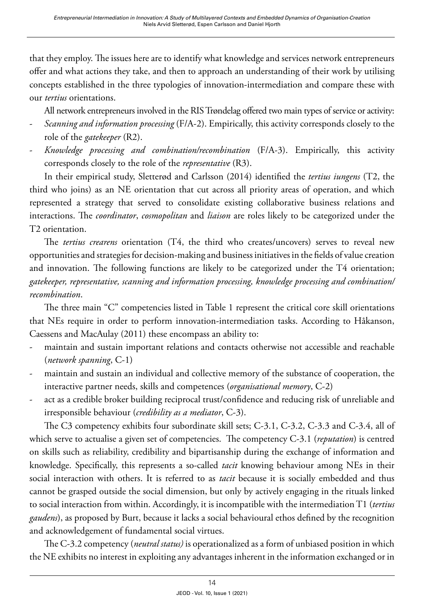that they employ. The issues here are to identify what knowledge and services network entrepreneurs offer and what actions they take, and then to approach an understanding of their work by utilising concepts established in the three typologies of innovation-intermediation and compare these with our *tertius* orientations.

All network entrepreneurs involved in the RIS Trøndelag offered two main types of service or activity:

- *Scanning and information processing* (F/A-2). Empirically, this activity corresponds closely to the role of the *gatekeeper* (R2).
- *Knowledge processing and combination/recombination* (F/A-3). Empirically, this activity corresponds closely to the role of the *representative* (R3).

In their empirical study, Sletterød and Carlsson (2014) identified the *tertius iungens* (T2, the third who joins) as an NE orientation that cut across all priority areas of operation, and which represented a strategy that served to consolidate existing collaborative business relations and interactions. The *coordinator*, *cosmopolitan* and *liaison* are roles likely to be categorized under the T2 orientation.

The *tertius crearens* orientation (T4, the third who creates/uncovers) serves to reveal new opportunities and strategies for decision-making and business initiatives in the fields of value creation and innovation. The following functions are likely to be categorized under the T4 orientation; *gatekeeper, representative, scanning and information processing, knowledge processing and combination/ recombination*.

The three main "C" competencies listed in Table 1 represent the critical core skill orientations that NEs require in order to perform innovation-intermediation tasks. According to Håkanson, Caessens and MacAulay (2011) these encompass an ability to:

- maintain and sustain important relations and contacts otherwise not accessible and reachable (*network spanning*, C-1)
- maintain and sustain an individual and collective memory of the substance of cooperation, the interactive partner needs, skills and competences (*organisational memory*, C-2)
- act as a credible broker building reciprocal trust/confidence and reducing risk of unreliable and irresponsible behaviour (*credibility as a mediator*, C-3).

The C3 competency exhibits four subordinate skill sets; C-3.1, C-3.2, C-3.3 and C-3.4, all of which serve to actualise a given set of competencies. The competency C-3.1 (*reputation*) is centred on skills such as reliability, credibility and bipartisanship during the exchange of information and knowledge. Specifically, this represents a so-called *tacit* knowing behaviour among NEs in their social interaction with others. It is referred to as *tacit* because it is socially embedded and thus cannot be grasped outside the social dimension, but only by actively engaging in the rituals linked to social interaction from within. Accordingly, it is incompatible with the intermediation T1 (*tertius gaudens*), as proposed by Burt, because it lacks a social behavioural ethos defined by the recognition and acknowledgement of fundamental social virtues.

The C-3.2 competency (*neutral status)* is operationalized as a form of unbiased position in which the NE exhibits no interest in exploiting any advantages inherent in the information exchanged or in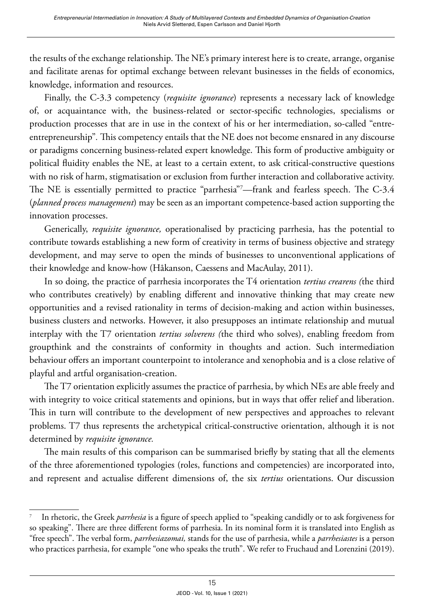the results of the exchange relationship. The NE's primary interest here is to create, arrange, organise and facilitate arenas for optimal exchange between relevant businesses in the fields of economics, knowledge, information and resources.

Finally, the C-3.3 competency (*requisite ignorance*) represents a necessary lack of knowledge of, or acquaintance with, the business-related or sector-specific technologies, specialisms or production processes that are in use in the context of his or her intermediation, so-called "entreentrepreneurship"*.* This competency entails that the NE does not become ensnared in any discourse or paradigms concerning business-related expert knowledge. This form of productive ambiguity or political fluidity enables the NE, at least to a certain extent, to ask critical-constructive questions with no risk of harm, stigmatisation or exclusion from further interaction and collaborative activity. The NE is essentially permitted to practice "parrhesia"7 —frank and fearless speech. The C-3.4 (*planned process management*) may be seen as an important competence-based action supporting the innovation processes.

Generically, *requisite ignorance,* operationalised by practicing parrhesia, has the potential to contribute towards establishing a new form of creativity in terms of business objective and strategy development, and may serve to open the minds of businesses to unconventional applications of their knowledge and know-how (Håkanson, Caessens and MacAulay, 2011).

In so doing, the practice of parrhesia incorporates the T4 orientation *tertius crearens (*the third who contributes creatively) by enabling different and innovative thinking that may create new opportunities and a revised rationality in terms of decision-making and action within businesses, business clusters and networks. However, it also presupposes an intimate relationship and mutual interplay with the T7 orientation *tertius solverens (*the third who solves), enabling freedom from groupthink and the constraints of conformity in thoughts and action. Such intermediation behaviour offers an important counterpoint to intolerance and xenophobia and is a close relative of playful and artful organisation-creation.

The T7 orientation explicitly assumes the practice of parrhesia, by which NEs are able freely and with integrity to voice critical statements and opinions, but in ways that offer relief and liberation. This in turn will contribute to the development of new perspectives and approaches to relevant problems. T7 thus represents the archetypical critical-constructive orientation, although it is not determined by *requisite ignorance.* 

The main results of this comparison can be summarised briefly by stating that all the elements of the three aforementioned typologies (roles, functions and competencies) are incorporated into, and represent and actualise different dimensions of, the six *tertius* orientations. Our discussion

<sup>7</sup> In rhetoric, the Greek *parrhesia* is a figure of speech applied to "speaking candidly or to ask forgiveness for so speaking". There are three different forms of parrhesia. In its nominal form it is translated into English as "free speech". The verbal form, *parrhesiazomai,* stands for the use of parrhesia, while a *parrhesiastes* is a person who practices parrhesia, for example "one who speaks the truth". We refer to Fruchaud and Lorenzini (2019).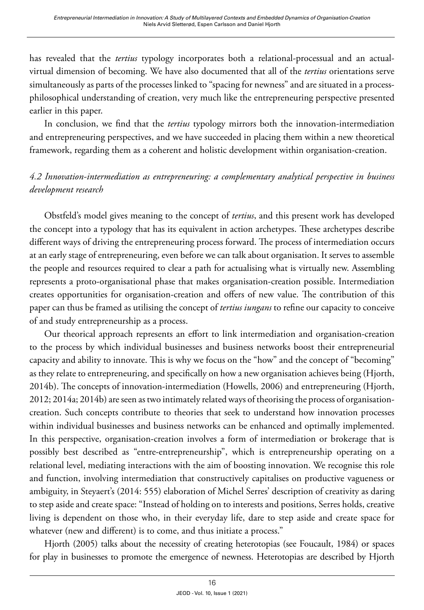has revealed that the *tertius* typology incorporates both a relational-processual and an actualvirtual dimension of becoming. We have also documented that all of the *tertius* orientations serve simultaneously as parts of the processes linked to "spacing for newness" and are situated in a processphilosophical understanding of creation, very much like the entrepreneuring perspective presented earlier in this paper.

In conclusion, we find that the *tertius* typology mirrors both the innovation-intermediation and entrepreneuring perspectives, and we have succeeded in placing them within a new theoretical framework, regarding them as a coherent and holistic development within organisation-creation.

## *4.2 Innovation-intermediation as entrepreneuring: a complementary analytical perspective in business development research*

Obstfeld's model gives meaning to the concept of *tertius*, and this present work has developed the concept into a typology that has its equivalent in action archetypes. These archetypes describe different ways of driving the entrepreneuring process forward. The process of intermediation occurs at an early stage of entrepreneuring, even before we can talk about organisation. It serves to assemble the people and resources required to clear a path for actualising what is virtually new. Assembling represents a proto-organisational phase that makes organisation-creation possible. Intermediation creates opportunities for organisation-creation and offers of new value. The contribution of this paper can thus be framed as utilising the concept of *tertius iungans* to refine our capacity to conceive of and study entrepreneurship as a process.

Our theorical approach represents an effort to link intermediation and organisation-creation to the process by which individual businesses and business networks boost their entrepreneurial capacity and ability to innovate. This is why we focus on the "how" and the concept of "becoming" as they relate to entrepreneuring, and specifically on how a new organisation achieves being (Hjorth, 2014b). The concepts of innovation-intermediation (Howells, 2006) and entrepreneuring (Hjorth, 2012; 2014a; 2014b) are seen as two intimately related ways of theorising the process of organisationcreation. Such concepts contribute to theories that seek to understand how innovation processes within individual businesses and business networks can be enhanced and optimally implemented. In this perspective, organisation-creation involves a form of intermediation or brokerage that is possibly best described as "entre-entrepreneurship", which is entrepreneurship operating on a relational level, mediating interactions with the aim of boosting innovation. We recognise this role and function, involving intermediation that constructively capitalises on productive vagueness or ambiguity, in Steyaert's (2014: 555) elaboration of Michel Serres' description of creativity as daring to step aside and create space: "Instead of holding on to interests and positions, Serres holds, creative living is dependent on those who, in their everyday life, dare to step aside and create space for whatever (new and different) is to come, and thus initiate a process."

Hjorth (2005) talks about the necessity of creating heterotopias (see Foucault, 1984) or spaces for play in businesses to promote the emergence of newness. Heterotopias are described by Hjorth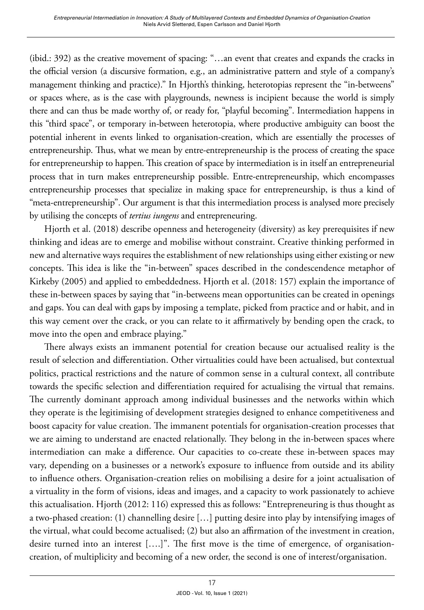(ibid.: 392) as the creative movement of spacing: "…an event that creates and expands the cracks in the official version (a discursive formation, e.g., an administrative pattern and style of a company's management thinking and practice)." In Hjorth's thinking, heterotopias represent the "in-betweens" or spaces where, as is the case with playgrounds, newness is incipient because the world is simply there and can thus be made worthy of, or ready for, "playful becoming". Intermediation happens in this "third space", or temporary in-between heterotopia, where productive ambiguity can boost the potential inherent in events linked to organisation-creation, which are essentially the processes of entrepreneurship. Thus, what we mean by entre-entrepreneurship is the process of creating the space for entrepreneurship to happen. This creation of space by intermediation is in itself an entrepreneurial process that in turn makes entrepreneurship possible. Entre-entrepreneurship, which encompasses entrepreneurship processes that specialize in making space for entrepreneurship, is thus a kind of "meta-entrepreneurship". Our argument is that this intermediation process is analysed more precisely by utilising the concepts of *tertius iungens* and entrepreneuring.

Hjorth et al. (2018) describe openness and heterogeneity (diversity) as key prerequisites if new thinking and ideas are to emerge and mobilise without constraint. Creative thinking performed in new and alternative ways requires the establishment of new relationships using either existing or new concepts. This idea is like the "in-between" spaces described in the condescendence metaphor of Kirkeby (2005) and applied to embeddedness. Hjorth et al. (2018: 157) explain the importance of these in-between spaces by saying that "in-betweens mean opportunities can be created in openings and gaps. You can deal with gaps by imposing a template, picked from practice and or habit, and in this way cement over the crack, or you can relate to it affirmatively by bending open the crack, to move into the open and embrace playing."

There always exists an immanent potential for creation because our actualised reality is the result of selection and differentiation. Other virtualities could have been actualised, but contextual politics, practical restrictions and the nature of common sense in a cultural context, all contribute towards the specific selection and differentiation required for actualising the virtual that remains. The currently dominant approach among individual businesses and the networks within which they operate is the legitimising of development strategies designed to enhance competitiveness and boost capacity for value creation. The immanent potentials for organisation-creation processes that we are aiming to understand are enacted relationally. They belong in the in-between spaces where intermediation can make a difference. Our capacities to co-create these in-between spaces may vary, depending on a businesses or a network's exposure to influence from outside and its ability to influence others. Organisation-creation relies on mobilising a desire for a joint actualisation of a virtuality in the form of visions, ideas and images, and a capacity to work passionately to achieve this actualisation. Hjorth (2012: 116) expressed this as follows: "Entrepreneuring is thus thought as a two-phased creation: (1) channelling desire […] putting desire into play by intensifying images of the virtual, what could become actualised; (2) but also an affirmation of the investment in creation, desire turned into an interest [….]". The first move is the time of emergence, of organisationcreation, of multiplicity and becoming of a new order, the second is one of interest/organisation.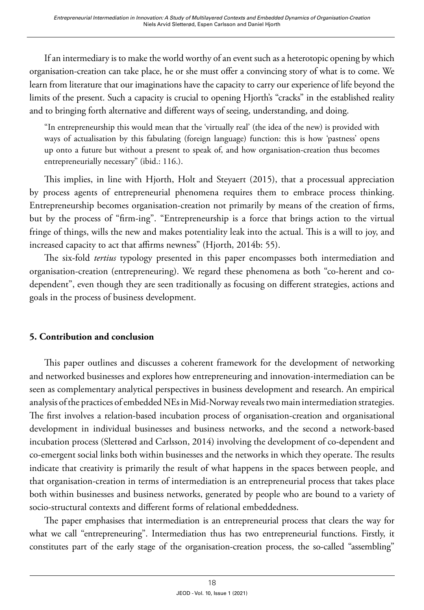If an intermediary is to make the world worthy of an event such as a heterotopic opening by which organisation-creation can take place, he or she must offer a convincing story of what is to come. We learn from literature that our imaginations have the capacity to carry our experience of life beyond the limits of the present. Such a capacity is crucial to opening Hjorth's "cracks" in the established reality and to bringing forth alternative and different ways of seeing, understanding, and doing.

"In entrepreneurship this would mean that the 'virtually real' (the idea of the new) is provided with ways of actualisation by this fabulating (foreign language) function: this is how 'pastness' opens up onto a future but without a present to speak of, and how organisation-creation thus becomes entrepreneurially necessary" (ibid.: 116.).

This implies, in line with Hjorth, Holt and Steyaert (2015), that a processual appreciation by process agents of entrepreneurial phenomena requires them to embrace process thinking. Entrepreneurship becomes organisation-creation not primarily by means of the creation of firms, but by the process of "firm-ing". "Entrepreneurship is a force that brings action to the virtual fringe of things, wills the new and makes potentiality leak into the actual. This is a will to joy, and increased capacity to act that affirms newness" (Hjorth, 2014b: 55).

The six-fold *tertius* typology presented in this paper encompasses both intermediation and organisation-creation (entrepreneuring). We regard these phenomena as both "co-herent and codependent", even though they are seen traditionally as focusing on different strategies, actions and goals in the process of business development.

### **5. Contribution and conclusion**

This paper outlines and discusses a coherent framework for the development of networking and networked businesses and explores how entrepreneuring and innovation-intermediation can be seen as complementary analytical perspectives in business development and research. An empirical analysis of the practices of embedded NEs in Mid-Norway reveals two main intermediation strategies. The first involves a relation-based incubation process of organisation-creation and organisational development in individual businesses and business networks, and the second a network-based incubation process (Sletterød and Carlsson, 2014) involving the development of co-dependent and co-emergent social links both within businesses and the networks in which they operate. The results indicate that creativity is primarily the result of what happens in the spaces between people, and that organisation-creation in terms of intermediation is an entrepreneurial process that takes place both within businesses and business networks, generated by people who are bound to a variety of socio-structural contexts and different forms of relational embeddedness.

The paper emphasises that intermediation is an entrepreneurial process that clears the way for what we call "entrepreneuring". Intermediation thus has two entrepreneurial functions. Firstly, it constitutes part of the early stage of the organisation-creation process, the so-called "assembling"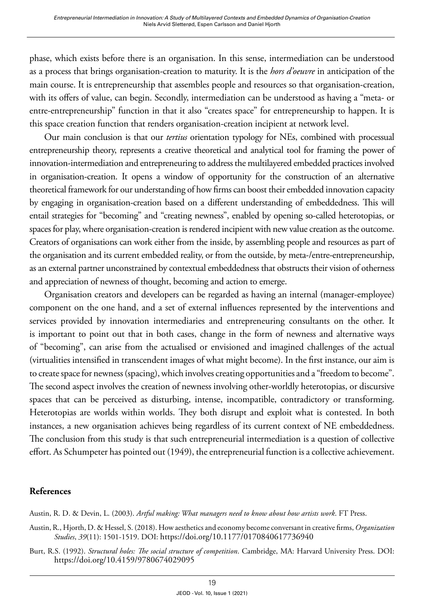phase, which exists before there is an organisation. In this sense, intermediation can be understood as a process that brings organisation-creation to maturity. It is the *hors d'oeuvre* in anticipation of the main course. It is entrepreneurship that assembles people and resources so that organisation-creation, with its offers of value, can begin. Secondly, intermediation can be understood as having a "meta- or entre-entrepreneurship" function in that it also "creates space" for entrepreneurship to happen. It is this space creation function that renders organisation-creation incipient at network level.

Our main conclusion is that our *tertius* orientation typology for NEs, combined with processual entrepreneurship theory, represents a creative theoretical and analytical tool for framing the power of innovation-intermediation and entrepreneuring to address the multilayered embedded practices involved in organisation-creation. It opens a window of opportunity for the construction of an alternative theoretical framework for our understanding of how firms can boost their embedded innovation capacity by engaging in organisation-creation based on a different understanding of embeddedness. This will entail strategies for "becoming" and "creating newness", enabled by opening so-called heterotopias, or spaces for play, where organisation-creation is rendered incipient with new value creation as the outcome. Creators of organisations can work either from the inside, by assembling people and resources as part of the organisation and its current embedded reality, or from the outside, by meta-/entre-entrepreneurship, as an external partner unconstrained by contextual embeddedness that obstructs their vision of otherness and appreciation of newness of thought, becoming and action to emerge.

Organisation creators and developers can be regarded as having an internal (manager-employee) component on the one hand, and a set of external influences represented by the interventions and services provided by innovation intermediaries and entrepreneuring consultants on the other. It is important to point out that in both cases, change in the form of newness and alternative ways of "becoming", can arise from the actualised or envisioned and imagined challenges of the actual (virtualities intensified in transcendent images of what might become). In the first instance, our aim is to create space for newness (spacing), which involves creating opportunities and a "freedom to become". The second aspect involves the creation of newness involving other-worldly heterotopias, or discursive spaces that can be perceived as disturbing, intense, incompatible, contradictory or transforming. Heterotopias are worlds within worlds. They both disrupt and exploit what is contested. In both instances, a new organisation achieves being regardless of its current context of NE embeddedness. The conclusion from this study is that such entrepreneurial intermediation is a question of collective effort. As Schumpeter has pointed out (1949), the entrepreneurial function is a collective achievement.

#### **References**

Austin, R. D. & Devin, L. (2003). *Artful making: What managers need to know about how artists work*. FT Press.

- Austin, R., Hjorth, D. & Hessel, S. (2018). How aesthetics and economy become conversant in creative firms, *Organization Studies*, *39*(11): 1501-1519. DOI:<https://doi.org/10.1177/0170840617736940>
- Burt, R.S. (1992). *Structural holes: The social structure of competition*. Cambridge, MA: Harvard University Press. DOI: <https://doi.org/10.4159/9780674029095>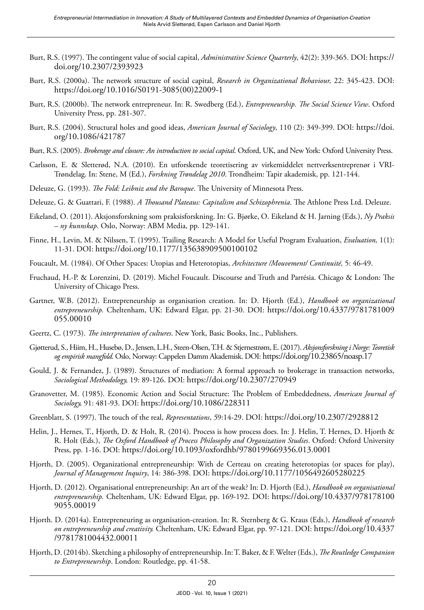- Burt, R.S. (1997). The contingent value of social capital, *Administrative Science Quarterly*, 42(2): 339-365. DOI: https:// doi.org/10.2307/2393923
- Burt, R.S. (2000a). The network structure of social capital, *Research in Organizational Behaviour,* 22: 345-423. DOI: [https://doi.org/10.1016/S0191-3085\(00\)22009-1](https://doi.org/10.1016/S0191-3085(00)22009-1)
- Burt, R.S. (2000b). The network entrepreneur. In: R. Swedberg (Ed.), *Entrepreneurship. The Social Science View*. Oxford University Press, pp. 281-307.
- Burt, R.S. (2004). Structural holes and good ideas, *American Journal of Sociology*, 110 (2): 349-399. DOI: [https://doi.](https://doi.org/10.1086/421787) [org/10.1086/421787](https://doi.org/10.1086/421787)
- Burt, R.S. (2005). *Brokerage and closure: An introduction to social capital*. Oxford, UK, and New York: Oxford University Press.
- Carlsson, E. & Sletterød, N.A. (2010). En utforskende teoretisering av virkemiddelet nettverksentreprenør i VRI-Trøndelag. In: Stene, M (Ed.), *Forskning Trøndelag 2010*. Trondheim: Tapir akademisk, pp. 121-144.
- Deleuze, G. (1993). *The Fold: Leibniz and the Baroque*. The University of Minnesota Press.
- Deleuze, G. & Guattari, F. (1988). *A Thousand Plateaus: Capitalism and Schizophrenia*. The Athlone Press Ltd. Deleuze.
- Eikeland, O. (2011). Aksjonsforskning som praksisforskning. In: G. Bjørke, O. Eikeland & H. Jarning (Eds.), *Ny Praksis – ny kunnskap*. Oslo, Norway: ABM Media, pp. 129-141.
- Finne, H., Levin, M. & Nilssen, T. (1995). Trailing Research: A Model for Useful Program Evaluation, *Evaluation,* 1(1): 11-31. DOI:<https://doi.org/10.1177/135638909500100102>
- Foucault, M. (1984). Of Other Spaces: Utopias and Heterotopias, *Architecture /Mouvement/ Continuité,* 5: 46-49.
- Fruchaud, H.-P. & Lorenzini, D. (2019). Michel Foucault. Discourse and Truth and Parrésia. Chicago & London: The University of Chicago Press.
- Gartner, W.B. (2012). Entrepreneurship as organisation creation. In: D. Hjorth (Ed.), *Handbook on organizational entrepreneurship.* Cheltenham, UK: Edward Elgar, pp. 21-30. DOI: [https://doi.org/10.4337/9781781009](https://doi.org/10.4337/9781781009055.00010) [055.00010](https://doi.org/10.4337/9781781009055.00010)
- Geertz, C. (1973). *The interpretation of cultures*. New York, Basic Books, Inc., Publishers.
- Gjøtterud, S., Hiim, H., Husebø, D., Jensen, L.H., Steen-Olsen, T.H. & Stjernestrøm, E. (2017). *Aksjonsforskning i Norge: Teoretisk og empirisk mangfold*. Oslo, Norway: Cappelen Damm Akademisk. DOI:<https://doi.org/10.23865/noasp.17>
- Gould, J. & Fernandez, J. (1989). Structures of mediation: A formal approach to brokerage in transaction networks, *Sociological Methodology,* 19: 89-126. DOI: <https://doi.org/10.2307/270949>
- Granovetter, M. (1985). Economic Action and Social Structure: The Problem of Embeddedness, *American Journal of Sociology,* 91: 481-93. DOI:<https://doi.org/10.1086/228311>
- Greenblatt, S. (1997). The touch of the real, *Representations*, *5*9:14-29. DOI: <https://doi.org/10.2307/2928812>
- Helin, J., Hernes, T., Hjorth, D. & Holt, R. (2014). Process is how process does. In: J. Helin, T. Hernes, D. Hjorth & R. Holt (Eds.), *The Oxford Handbook of Process Philosophy and Organization Studies*. Oxford: Oxford University Press, pp. 1-16. DOI: https://doi.org/10.1093/oxfordhb/9780199669356.013.0001
- Hjorth, D. (2005). Organizational entrepreneurship: With de Certeau on creating heterotopias (or spaces for play), *Journal of Management Inquiry*, 14: 386-398. DOI:<https://doi.org/10.1177/1056492605280225>
- Hjorth, D. (2012). Organisational entrepreneurship: An art of the weak? In: D. Hjorth (Ed.), *Handbook on organisational entrepreneurship.* Cheltenham, UK: Edward Elgar, pp. 169-192. DOI: [https://doi.org/10.4337/978178100](https://doi.org/10.4337/9781781009055.00019) [9055.00019](https://doi.org/10.4337/9781781009055.00019)
- Hjorth. D. (2014a). Entrepreneuring as organisation-creation. In: R. Sternberg & G. Kraus (Eds.), *Handbook of research on entrepreneurship and creativity.* Cheltenham, UK: Edward Elgar, pp. 97-121. DOI: [https://doi.org/10.4337](https://doi.org/10.4337/9781781004432.00011) [/9781781004432.00011](https://doi.org/10.4337/9781781004432.00011)
- Hjorth, D. (2014b). Sketching a philosophy of entrepreneurship. In: T. Baker, & F. Welter (Eds.), *The Routledge Companion to Entrepreneurship*. London: Routledge, pp. 41-58.